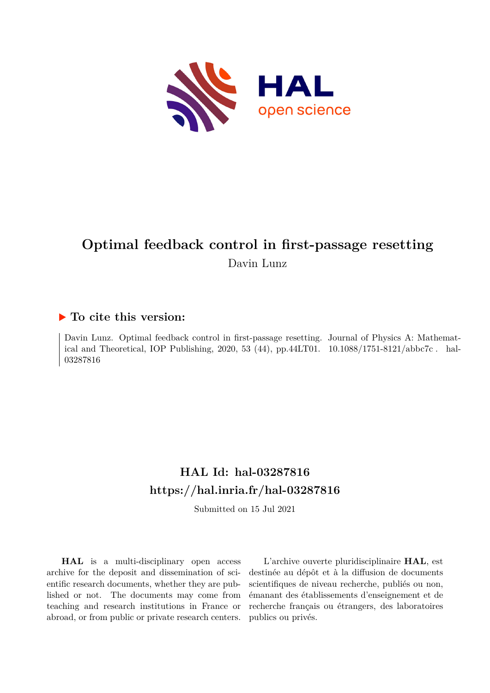

# **Optimal feedback control in first-passage resetting** Davin Lunz

### **To cite this version:**

Davin Lunz. Optimal feedback control in first-passage resetting. Journal of Physics A: Mathematical and Theoretical, IOP Publishing, 2020, 53 (44), pp.44LT01.  $10.1088/1751-8121/abbc7c$ . hal-03287816

## **HAL Id: hal-03287816 <https://hal.inria.fr/hal-03287816>**

Submitted on 15 Jul 2021

**HAL** is a multi-disciplinary open access archive for the deposit and dissemination of scientific research documents, whether they are published or not. The documents may come from teaching and research institutions in France or abroad, or from public or private research centers.

L'archive ouverte pluridisciplinaire **HAL**, est destinée au dépôt et à la diffusion de documents scientifiques de niveau recherche, publiés ou non, émanant des établissements d'enseignement et de recherche français ou étrangers, des laboratoires publics ou privés.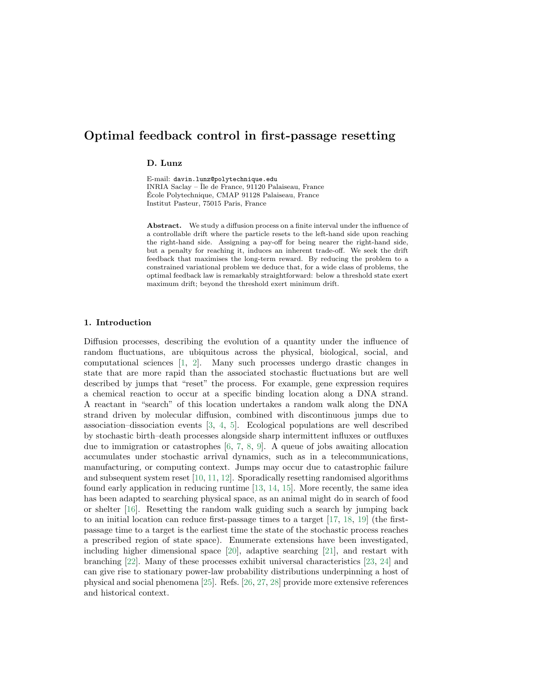### Optimal feedback control in first-passage resetting

#### D. Lunz

E-mail: davin.lunz@polytechnique.edu INRIA Saclay – Île de France, 91120 Palaiseau, France Ecole Polytechnique, CMAP 91128 Palaiseau, France ´ Institut Pasteur, 75015 Paris, France

Abstract. We study a diffusion process on a finite interval under the influence of a controllable drift where the particle resets to the left-hand side upon reaching the right-hand side. Assigning a pay-off for being nearer the right-hand side, but a penalty for reaching it, induces an inherent trade-off. We seek the drift feedback that maximises the long-term reward. By reducing the problem to a constrained variational problem we deduce that, for a wide class of problems, the optimal feedback law is remarkably straightforward: below a threshold state exert maximum drift; beyond the threshold exert minimum drift.

#### 1. Introduction

Diffusion processes, describing the evolution of a quantity under the influence of random fluctuations, are ubiquitous across the physical, biological, social, and computational sciences [1, 2]. Many such processes undergo drastic changes in state that are more rapid than the associated stochastic fluctuations but are well described by jumps that "reset" the process. For example, gene expression requires a chemical reaction to occur at a specific binding location along a DNA strand. A reactant in "search" of this location undertakes a random walk along the DNA strand driven by molecular diffusion, combined with discontinuous jumps due to association–dissociation events [3, 4, 5]. Ecological populations are well described by stochastic birth–death processes alongside sharp intermittent influxes or outfluxes due to immigration or catastrophes [6, 7, 8, 9]. A queue of jobs awaiting allocation accumulates under stochastic arrival dynamics, such as in a telecommunications, manufacturing, or computing context. Jumps may occur due to catastrophic failure and subsequent system reset [10, 11, 12]. Sporadically resetting randomised algorithms found early application in reducing runtime [13, 14, 15]. More recently, the same idea has been adapted to searching physical space, as an animal might do in search of food or shelter [16]. Resetting the random walk guiding such a search by jumping back to an initial location can reduce first-passage times to a target [17, 18, 19] (the firstpassage time to a target is the earliest time the state of the stochastic process reaches a prescribed region of state space). Enumerate extensions have been investigated, including higher dimensional space [20], adaptive searching [21], and restart with branching [22]. Many of these processes exhibit universal characteristics [23, 24] and can give rise to stationary power-law probability distributions underpinning a host of physical and social phenomena [25]. Refs. [26, 27, 28] provide more extensive references and historical context.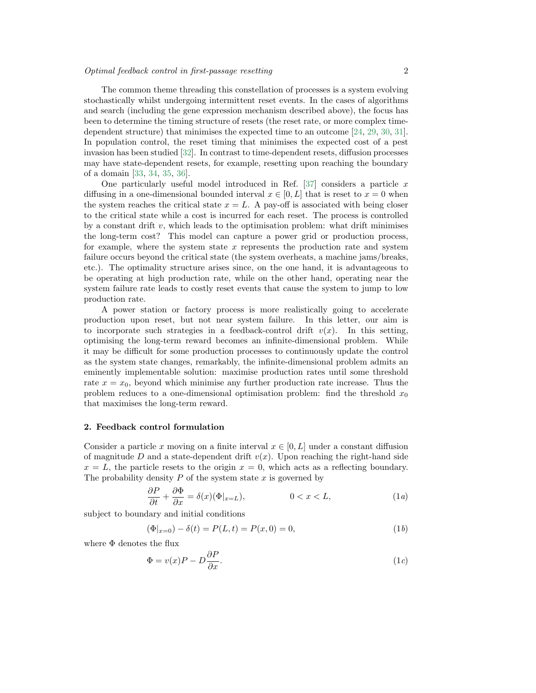The common theme threading this constellation of processes is a system evolving stochastically whilst undergoing intermittent reset events. In the cases of algorithms and search (including the gene expression mechanism described above), the focus has been to determine the timing structure of resets (the reset rate, or more complex timedependent structure) that minimises the expected time to an outcome [24, 29, 30, 31]. In population control, the reset timing that minimises the expected cost of a pest invasion has been studied [32]. In contrast to time-dependent resets, diffusion processes may have state-dependent resets, for example, resetting upon reaching the boundary of a domain [33, 34, 35, 36].

One particularly useful model introduced in Ref.  $[37]$  considers a particle x diffusing in a one-dimensional bounded interval  $x \in [0, L]$  that is reset to  $x = 0$  when the system reaches the critical state  $x = L$ . A pay-off is associated with being closer to the critical state while a cost is incurred for each reset. The process is controlled by a constant drift  $v$ , which leads to the optimisation problem: what drift minimises the long-term cost? This model can capture a power grid or production process, for example, where the system state x represents the production rate and system failure occurs beyond the critical state (the system overheats, a machine jams/breaks, etc.). The optimality structure arises since, on the one hand, it is advantageous to be operating at high production rate, while on the other hand, operating near the system failure rate leads to costly reset events that cause the system to jump to low production rate.

A power station or factory process is more realistically going to accelerate production upon reset, but not near system failure. In this letter, our aim is to incorporate such strategies in a feedback-control drift  $v(x)$ . In this setting, optimising the long-term reward becomes an infinite-dimensional problem. While it may be difficult for some production processes to continuously update the control as the system state changes, remarkably, the infinite-dimensional problem admits an eminently implementable solution: maximise production rates until some threshold rate  $x = x_0$ , beyond which minimise any further production rate increase. Thus the problem reduces to a one-dimensional optimisation problem: find the threshold  $x_0$ that maximises the long-term reward.

#### 2. Feedback control formulation

Consider a particle x moving on a finite interval  $x \in [0, L]$  under a constant diffusion of magnitude D and a state-dependent drift  $v(x)$ . Upon reaching the right-hand side  $x = L$ , the particle resets to the origin  $x = 0$ , which acts as a reflecting boundary. The probability density  $P$  of the system state  $x$  is governed by

$$
\frac{\partial P}{\partial t} + \frac{\partial \Phi}{\partial x} = \delta(x)(\Phi|_{x=L}), \qquad 0 < x < L,\tag{1a}
$$

subject to boundary and initial conditions

$$
(\Phi|_{x=0}) - \delta(t) = P(L, t) = P(x, 0) = 0,
$$
\n(1b)

where Φ denotes the flux

$$
\Phi = v(x)P - D\frac{\partial P}{\partial x}.\tag{1c}
$$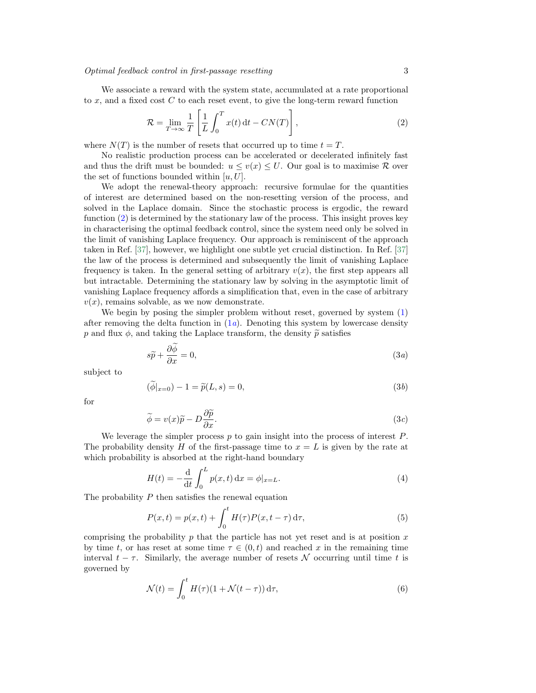We associate a reward with the system state, accumulated at a rate proportional to  $x$ , and a fixed cost  $C$  to each reset event, to give the long-term reward function

$$
\mathcal{R} = \lim_{T \to \infty} \frac{1}{T} \left[ \frac{1}{L} \int_0^T x(t) dt - CN(T) \right],
$$
\n(2)

where  $N(T)$  is the number of resets that occurred up to time  $t = T$ .

No realistic production process can be accelerated or decelerated infinitely fast and thus the drift must be bounded:  $u \le v(x) \le U$ . Our goal is to maximise R over the set of functions bounded within  $[u, U]$ .

We adopt the renewal-theory approach: recursive formulae for the quantities of interest are determined based on the non-resetting version of the process, and solved in the Laplace domain. Since the stochastic process is ergodic, the reward function (2) is determined by the stationary law of the process. This insight proves key in characterising the optimal feedback control, since the system need only be solved in the limit of vanishing Laplace frequency. Our approach is reminiscent of the approach taken in Ref. [37], however, we highlight one subtle yet crucial distinction. In Ref. [37] the law of the process is determined and subsequently the limit of vanishing Laplace frequency is taken. In the general setting of arbitrary  $v(x)$ , the first step appears all but intractable. Determining the stationary law by solving in the asymptotic limit of vanishing Laplace frequency affords a simplification that, even in the case of arbitrary  $v(x)$ , remains solvable, as we now demonstrate.

We begin by posing the simpler problem without reset, governed by system  $(1)$ after removing the delta function in  $(1a)$ . Denoting this system by lowercase density p and flux  $\phi$ , and taking the Laplace transform, the density  $\tilde{p}$  satisfies

$$
s\widetilde{p} + \frac{\partial \dot{\phi}}{\partial x} = 0,\tag{3a}
$$

subject to

$$
(\phi|_{x=0}) - 1 = \tilde{p}(L, s) = 0,
$$
\n(3b)

for

$$
\widetilde{\phi} = v(x)\widetilde{p} - D\frac{\partial \widetilde{p}}{\partial x}.\tag{3c}
$$

We leverage the simpler process  $p$  to gain insight into the process of interest  $P$ . The probability density H of the first-passage time to  $x = L$  is given by the rate at which probability is absorbed at the right-hand boundary

$$
H(t) = -\frac{\mathrm{d}}{\mathrm{d}t} \int_0^L p(x, t) \, \mathrm{d}x = \phi|_{x=L}.\tag{4}
$$

The probability  $P$  then satisfies the renewal equation

$$
P(x,t) = p(x,t) + \int_0^t H(\tau)P(x,t-\tau) d\tau,
$$
\n(5)

comprising the probability p that the particle has not yet reset and is at position  $x$ by time t, or has reset at some time  $\tau \in (0,t)$  and reached x in the remaining time interval  $t - \tau$ . Similarly, the average number of resets N occurring until time t is governed by

$$
\mathcal{N}(t) = \int_0^t H(\tau)(1 + \mathcal{N}(t - \tau)) d\tau,
$$
\n(6)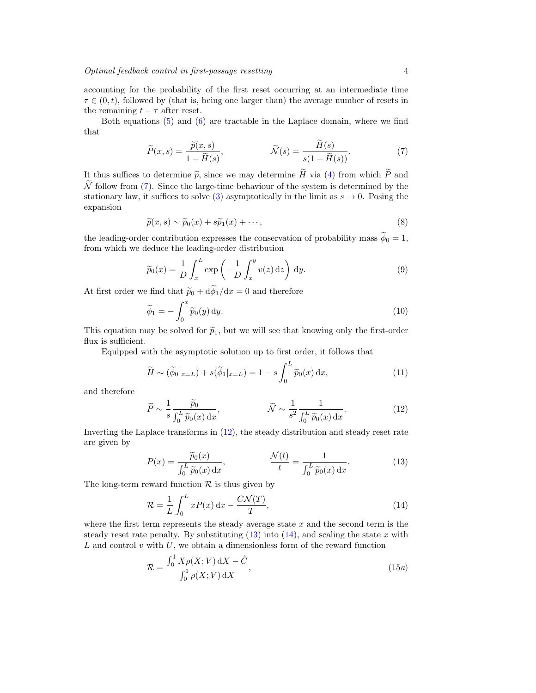accounting for the probability of the first reset occurring at an intermediate time  $\tau \in (0, t)$ , followed by (that is, being one larger than) the average number of resets in the remaining  $t - \tau$  after reset.

Both equations (5) and (6) are tractable in the Laplace domain, where we find that

$$
\widetilde{P}(x,s) = \frac{\widetilde{p}(x,s)}{1 - \widetilde{H}(s)}, \qquad \widetilde{\mathcal{N}}(s) = \frac{\widetilde{H}(s)}{s(1 - \widetilde{H}(s))}.
$$
\n(7)

It thus suffices to determine  $\tilde{p}$ , since we may determine  $\tilde{H}$  via (4) from which  $\tilde{P}$  and  $\widetilde{\mathcal{N}}$  follow from (7). Since the large-time behaviour of the system is determined by the stationary law, it suffices to solve (3) asymptotically in the limit as  $s \to 0$ . Posing the expansion

$$
\widetilde{p}(x,s) \sim \widetilde{p}_0(x) + s\widetilde{p}_1(x) + \cdots,\tag{8}
$$

the leading-order contribution expresses the conservation of probability mass  $\widetilde{\phi}_0 = 1$ , from which we deduce the leading-order distribution

$$
\widetilde{p}_0(x) = \frac{1}{D} \int_x^L \exp\left(-\frac{1}{D} \int_x^y v(z) \, \mathrm{d}z\right) \, \mathrm{d}y. \tag{9}
$$

At first order we find that  $\widetilde{p}_0 + d\widetilde{\phi}_1/dx = 0$  and therefore

$$
\widetilde{\phi}_1 = -\int_0^x \widetilde{p}_0(y) \, \mathrm{d}y. \tag{10}
$$

This equation may be solved for  $\tilde{p}_1$ , but we will see that knowing only the first-order flux is sufficient.

Equipped with the asymptotic solution up to first order, it follows that

$$
\widetilde{H} \sim (\widetilde{\phi}_0|_{x=L}) + s(\widetilde{\phi}_1|_{x=L}) = 1 - s \int_0^L \widetilde{p}_0(x) \, \mathrm{d}x,\tag{11}
$$

and therefore

$$
\widetilde{P} \sim \frac{1}{s} \frac{\widetilde{p}_0}{\int_0^L \widetilde{p}_0(x) dx}, \qquad \widetilde{\mathcal{N}} \sim \frac{1}{s^2} \frac{1}{\int_0^L \widetilde{p}_0(x) dx}.
$$
\n(12)

Inverting the Laplace transforms in (12), the steady distribution and steady reset rate are given by

$$
P(x) = \frac{\widetilde{p}_0(x)}{\int_0^L \widetilde{p}_0(x) dx}, \qquad \frac{\mathcal{N}(t)}{t} = \frac{1}{\int_0^L \widetilde{p}_0(x) dx}.
$$
 (13)

The long-term reward function  $\mathcal R$  is thus given by

$$
\mathcal{R} = \frac{1}{L} \int_0^L x P(x) \, \mathrm{d}x - \frac{C\mathcal{N}(T)}{T},\tag{14}
$$

where the first term represents the steady average state  $x$  and the second term is the steady reset rate penalty. By substituting  $(13)$  into  $(14)$ , and scaling the state x with  $L$  and control  $v$  with  $U$ , we obtain a dimensionless form of the reward function

$$
\mathcal{R} = \frac{\int_0^1 X \rho(X; V) \, \mathrm{d}X - \hat{C}}{\int_0^1 \rho(X; V) \, \mathrm{d}X},\tag{15a}
$$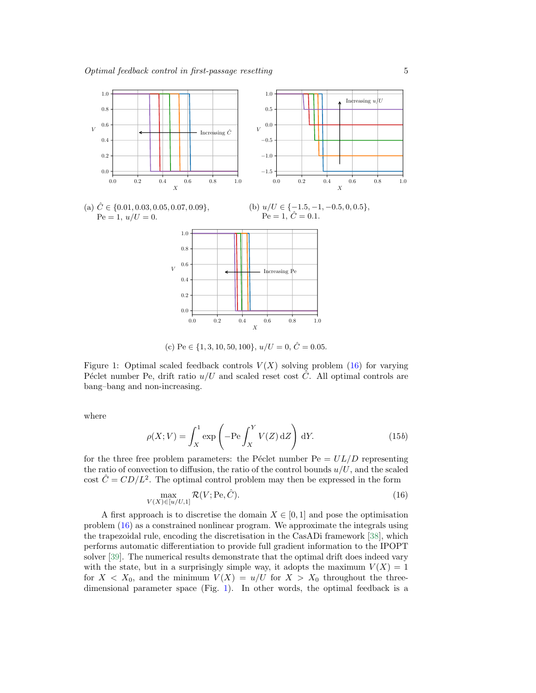

(c) Pe  $\in \{1, 3, 10, 50, 100\}, u/U = 0, \hat{C} = 0.05.$ 

Figure 1: Optimal scaled feedback controls  $V(X)$  solving problem (16) for varying Péclet number Pe, drift ratio  $u/U$  and scaled reset cost  $\ddot{C}$ . All optimal controls are bang–bang and non-increasing.

where

$$
\rho(X;V) = \int_X^1 \exp\left(-\text{Pe}\int_X^Y V(Z)\,\mathrm{d}Z\right)\,\mathrm{d}Y.\tag{15b}
$$

for the three free problem parameters: the Péclet number  $Pe = UL/D$  representing the ratio of convection to diffusion, the ratio of the control bounds  $u/U$ , and the scaled cost  $\hat{C} = CD/L^2$ . The optimal control problem may then be expressed in the form

$$
\max_{V(X)\in[u/U,1]} \mathcal{R}(V; \text{Pe}, \hat{C}).\tag{16}
$$

A first approach is to discretise the domain  $X \in [0, 1]$  and pose the optimisation problem (16) as a constrained nonlinear program. We approximate the integrals using the trapezoidal rule, encoding the discretisation in the CasADi framework [38], which performs automatic differentiation to provide full gradient information to the IPOPT solver [39]. The numerical results demonstrate that the optimal drift does indeed vary with the state, but in a surprisingly simple way, it adopts the maximum  $V(X) = 1$ for  $X < X_0$ , and the minimum  $V(X) = u/U$  for  $X > X_0$  throughout the threedimensional parameter space (Fig. 1). In other words, the optimal feedback is a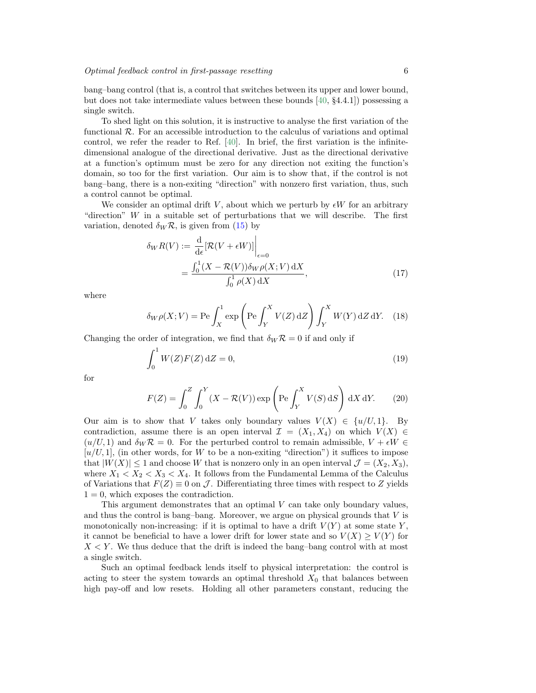bang–bang control (that is, a control that switches between its upper and lower bound, but does not take intermediate values between these bounds [40, §4.4.1]) possessing a single switch.

To shed light on this solution, it is instructive to analyse the first variation of the functional  $\mathcal{R}$ . For an accessible introduction to the calculus of variations and optimal control, we refer the reader to Ref. [40]. In brief, the first variation is the infinitedimensional analogue of the directional derivative. Just as the directional derivative at a function's optimum must be zero for any direction not exiting the function's domain, so too for the first variation. Our aim is to show that, if the control is not bang–bang, there is a non-exiting "direction" with nonzero first variation, thus, such a control cannot be optimal.

We consider an optimal drift V, about which we perturb by  $\epsilon W$  for an arbitrary "direction"  $W$  in a suitable set of perturbations that we will describe. The first variation, denoted  $\delta_W \mathcal{R}$ , is given from (15) by

$$
\delta_W R(V) := \frac{\mathrm{d}}{\mathrm{d}\epsilon} [\mathcal{R}(V + \epsilon W)] \Big|_{\epsilon=0}
$$
  
= 
$$
\frac{\int_0^1 (X - \mathcal{R}(V)) \delta_W \rho(X; V) \mathrm{d}X}{\int_0^1 \rho(X) \mathrm{d}X},
$$
 (17)

where

$$
\delta_W \rho(X; V) = \text{Pe} \int_X^1 \exp\left(\text{Pe} \int_Y^X V(Z) \,dZ\right) \int_Y^X W(Y) \,dZ \,dY. \tag{18}
$$

Changing the order of integration, we find that  $\delta_W \mathcal{R} = 0$  if and only if

$$
\int_{0}^{1} W(Z)F(Z) \, \mathrm{d}Z = 0,\tag{19}
$$

for

$$
F(Z) = \int_0^Z \int_0^Y (X - \mathcal{R}(V)) \exp\left(\text{Pe} \int_Y^X V(S) \,dS\right) \,dX \,dY. \tag{20}
$$

Our aim is to show that V takes only boundary values  $V(X) \in \{u/U, 1\}$ . By contradiction, assume there is an open interval  $\mathcal{I} = (X_1, X_4)$  on which  $V(X) \in$  $(u/U, 1)$  and  $\delta_W \mathcal{R} = 0$ . For the perturbed control to remain admissible,  $V + \epsilon W \in$  $[u/U, 1]$ , (in other words, for W to be a non-exiting "direction") it suffices to impose that  $|W(X)| \leq 1$  and choose W that is nonzero only in an open interval  $\mathcal{J} = (X_2, X_3)$ , where  $X_1 < X_2 < X_3 < X_4$ . It follows from the Fundamental Lemma of the Calculus of Variations that  $F(Z) \equiv 0$  on J. Differentiating three times with respect to Z yields  $1 = 0$ , which exposes the contradiction.

This argument demonstrates that an optimal  $V$  can take only boundary values, and thus the control is bang–bang. Moreover, we argue on physical grounds that  $V$  is monotonically non-increasing: if it is optimal to have a drift  $V(Y)$  at some state Y, it cannot be beneficial to have a lower drift for lower state and so  $V(X) \geq V(Y)$  for  $X \leq Y$ . We thus deduce that the drift is indeed the bang-bang control with at most a single switch.

Such an optimal feedback lends itself to physical interpretation: the control is acting to steer the system towards an optimal threshold  $X_0$  that balances between high pay-off and low resets. Holding all other parameters constant, reducing the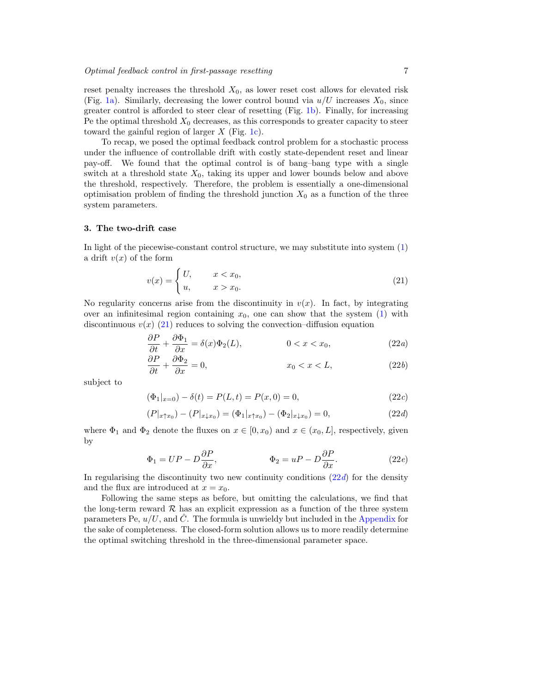reset penalty increases the threshold  $X_0$ , as lower reset cost allows for elevated risk (Fig. 1a). Similarly, decreasing the lower control bound via  $u/U$  increases  $X_0$ , since greater control is afforded to steer clear of resetting (Fig. 1b). Finally, for increasing Pe the optimal threshold  $X_0$  decreases, as this corresponds to greater capacity to steer toward the gainful region of larger  $X$  (Fig. 1c).

To recap, we posed the optimal feedback control problem for a stochastic process under the influence of controllable drift with costly state-dependent reset and linear pay-off. We found that the optimal control is of bang–bang type with a single switch at a threshold state  $X_0$ , taking its upper and lower bounds below and above the threshold, respectively. Therefore, the problem is essentially a one-dimensional optimisation problem of finding the threshold junction  $X_0$  as a function of the three system parameters.

#### 3. The two-drift case

In light of the piecewise-constant control structure, we may substitute into system (1) a drift  $v(x)$  of the form

$$
v(x) = \begin{cases} U, & x < x_0, \\ u, & x > x_0. \end{cases} \tag{21}
$$

No regularity concerns arise from the discontinuity in  $v(x)$ . In fact, by integrating over an infinitesimal region containing  $x_0$ , one can show that the system (1) with discontinuous  $v(x)$  (21) reduces to solving the convection–diffusion equation

$$
\frac{\partial P}{\partial t} + \frac{\partial \Phi_1}{\partial x} = \delta(x)\Phi_2(L), \qquad 0 < x < x_0,\tag{22a}
$$

$$
\frac{\partial P}{\partial t} + \frac{\partial \Phi_2}{\partial x} = 0, \qquad x_0 < x < L,\tag{22b}
$$

subject to

$$
(\Phi_1|_{x=0}) - \delta(t) = P(L, t) = P(x, 0) = 0,
$$
\n(22*c*)

$$
(P|_{x \uparrow x_0}) - (P|_{x \downarrow x_0}) = (\Phi_1|_{x \uparrow x_0}) - (\Phi_2|_{x \downarrow x_0}) = 0,
$$
\n(22*d*)

where  $\Phi_1$  and  $\Phi_2$  denote the fluxes on  $x \in [0, x_0)$  and  $x \in (x_0, L]$ , respectively, given by

$$
\Phi_1 = UP - D \frac{\partial P}{\partial x}, \qquad \Phi_2 = uP - D \frac{\partial P}{\partial x}.
$$
\n(22*e*)

In regularising the discontinuity two new continuity conditions  $(22d)$  for the density and the flux are introduced at  $x = x_0$ .

Following the same steps as before, but omitting the calculations, we find that the long-term reward  $R$  has an explicit expression as a function of the three system parameters Pe,  $u/U$ , and  $\ddot{C}$ . The formula is unwieldy but included in the Appendix for the sake of completeness. The closed-form solution allows us to more readily determine the optimal switching threshold in the three-dimensional parameter space.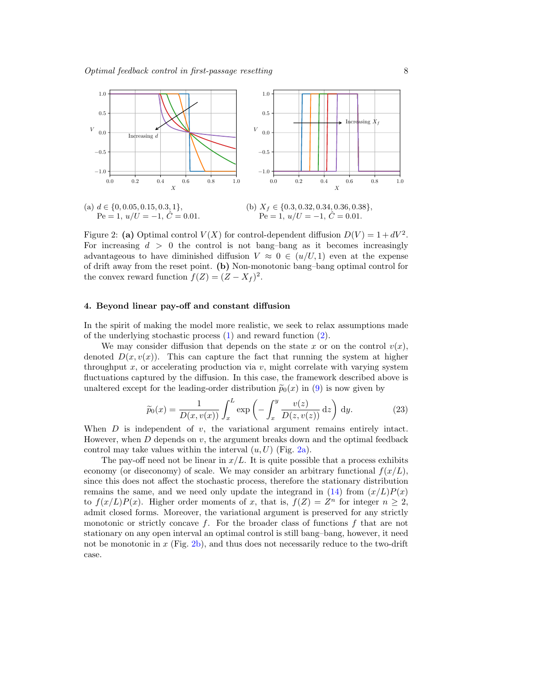

Figure 2: (a) Optimal control  $V(X)$  for control-dependent diffusion  $D(V) = 1 + dV^2$ . For increasing  $d > 0$  the control is not bang-bang as it becomes increasingly advantageous to have diminished diffusion  $V \approx 0 \in (u/U, 1)$  even at the expense of drift away from the reset point. (b) Non-monotonic bang–bang optimal control for the convex reward function  $f(Z) = (Z - X_f)^2$ .

#### 4. Beyond linear pay-off and constant diffusion

In the spirit of making the model more realistic, we seek to relax assumptions made of the underlying stochastic process (1) and reward function (2).

We may consider diffusion that depends on the state x or on the control  $v(x)$ , denoted  $D(x, v(x))$ . This can capture the fact that running the system at higher throughput  $x$ , or accelerating production via  $v$ , might correlate with varying system fluctuations captured by the diffusion. In this case, the framework described above is unaltered except for the leading-order distribution  $\tilde{p}_0(x)$  in (9) is now given by

$$
\widetilde{p}_0(x) = \frac{1}{D(x, v(x))} \int_x^L \exp\left(-\int_x^y \frac{v(z)}{D(z, v(z))} dz\right) dy.
$$
 (23)

When  $D$  is independent of  $v$ , the variational argument remains entirely intact. However, when  $D$  depends on  $v$ , the argument breaks down and the optimal feedback control may take values within the interval  $(u, U)$  (Fig. 2a).

The pay-off need not be linear in  $x/L$ . It is quite possible that a process exhibits economy (or diseconomy) of scale. We may consider an arbitrary functional  $f(x/L)$ , since this does not affect the stochastic process, therefore the stationary distribution remains the same, and we need only update the integrand in (14) from  $(x/L)P(x)$ to  $f(x/L)P(x)$ . Higher order moments of x, that is,  $f(Z) = Z^n$  for integer  $n \geq 2$ , admit closed forms. Moreover, the variational argument is preserved for any strictly monotonic or strictly concave  $f$ . For the broader class of functions  $f$  that are not stationary on any open interval an optimal control is still bang–bang, however, it need not be monotonic in  $x$  (Fig. 2b), and thus does not necessarily reduce to the two-drift case.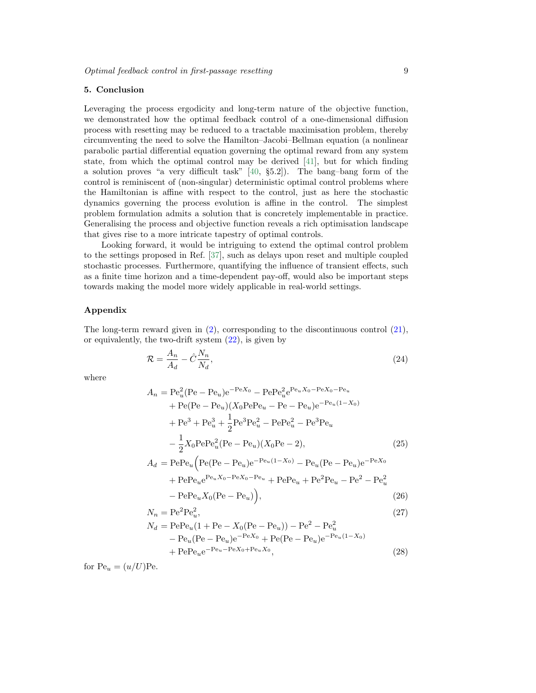#### 5. Conclusion

Leveraging the process ergodicity and long-term nature of the objective function, we demonstrated how the optimal feedback control of a one-dimensional diffusion process with resetting may be reduced to a tractable maximisation problem, thereby circumventing the need to solve the Hamilton–Jacobi–Bellman equation (a nonlinear parabolic partial differential equation governing the optimal reward from any system state, from which the optimal control may be derived [41], but for which finding a solution proves "a very difficult task" [40, §5.2]). The bang–bang form of the control is reminiscent of (non-singular) deterministic optimal control problems where the Hamiltonian is affine with respect to the control, just as here the stochastic dynamics governing the process evolution is affine in the control. The simplest problem formulation admits a solution that is concretely implementable in practice. Generalising the process and objective function reveals a rich optimisation landscape that gives rise to a more intricate tapestry of optimal controls.

Looking forward, it would be intriguing to extend the optimal control problem to the settings proposed in Ref. [37], such as delays upon reset and multiple coupled stochastic processes. Furthermore, quantifying the influence of transient effects, such as a finite time horizon and a time-dependent pay-off, would also be important steps towards making the model more widely applicable in real-world settings.

#### Appendix

The long-term reward given in (2), corresponding to the discontinuous control (21), or equivalently, the two-drift system  $(22)$ , is given by

$$
\mathcal{R} = \frac{A_n}{A_d} - \hat{C}\frac{N_n}{N_d},\tag{24}
$$

where

$$
A_n = \text{Pe}_u^2(\text{Pe} - \text{Pe}_u)e^{-\text{Pe}X_0} - \text{Pe}P\text{e}_u^2e^{\text{Pe}_uX_0 - \text{Pe}_u} - \text{Pe}_u + \text{Pe}(\text{Pe} - \text{Pe}_u)(X_0\text{Pe}P\text{e}_u - \text{Pe} - \text{Pe}_u)e^{-\text{Pe}_u(1 - X_0)} \\
+ \text{Pe}^3 + \text{Pe}_u^3 + \frac{1}{2}\text{Pe}^3\text{Pe}_u^2 - \text{Pe}P\text{e}_u^2 - \text{Pe}^3\text{Pe}_u \\
- \frac{1}{2}X_0\text{Pe}P\text{e}_u^2(\text{Pe} - \text{Pe}_u)(X_0\text{Pe} - 2), \qquad (25) \\
A_d = \text{Pe}P\text{e}_u\left(\text{Pe}(\text{Pe} - \text{Pe}_u)e^{-\text{Pe}_u(1 - X_0)} - \text{Pe}_u(\text{Pe} - \text{Pe}_u)e^{-\text{Pe}X_0} + \text{Pe}P\text{e}_ue^{\text{Pe}_uX_0 - \text{Pe}_u} + \text{Pe}P\text{e}_u + \text{Pe}^2\text{Pe}_u - \text{Pe}^2 - \text{Pe}_u^2 - \text{Pe}P\text{e}_uX_0(\text{Pe} - \text{Pe}_u)\right), \qquad (26)
$$

$$
N_n = \text{Pe}^2 \text{Pe}_u^2,\tag{27}
$$

$$
N_d = \text{PePe}_u (1 + \text{Pe} - X_0 (\text{Pe} - \text{Pe}_u)) - \text{Pe}^2 - \text{Pe}_u^2 - \text{Pe}_u (\text{Pe} - \text{Pe}_u) e^{-\text{Pe}X_0} + \text{Pe} (\text{Pe} - \text{Pe}_u) e^{-\text{Pe}_u (1 - X_0)} + \text{PePe}_u e^{-\text{Pe}_u - \text{Pe}X_0 + \text{Pe}_u X_0},
$$
(28)

for  $Pe_u = (u/U)Pe$ .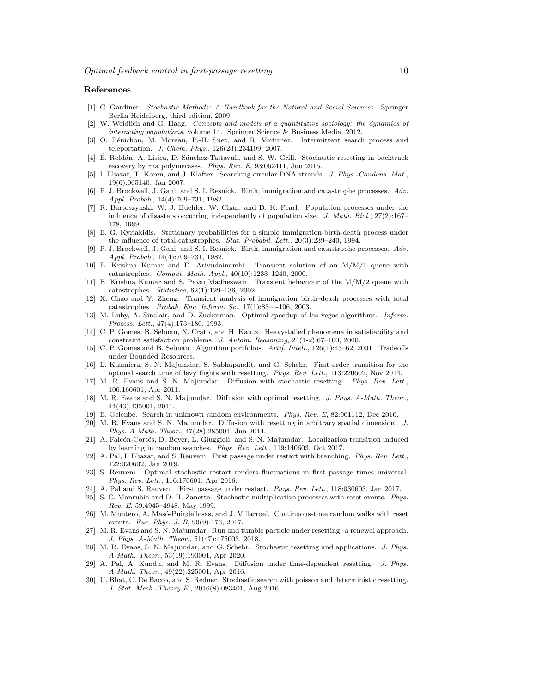#### References

- [1] C. Gardiner. Stochastic Methods: A Handbook for the Natural and Social Sciences. Springer Berlin Heidelberg, third edition, 2009.
- [2] W. Weidlich and G. Haag. Concepts and models of a quantitative sociology: the dynamics of interacting populations, volume 14. Springer Science & Business Media, 2012.
- [3] O. Bénichou, M. Moreau, P.-H. Suet, and R. Voituriez. Intermittent search process and teleportation. J. Chem. Phys., 126(23):234109, 2007.
- [4] É. Roldán, A. Lisica, D. Sánchez-Taltavull, and S. W. Grill. Stochastic resetting in backtrack recovery by rna polymerases. Phys. Rev. E, 93:062411, Jun 2016.
- [5] I. Eliazar, T. Koren, and J. Klafter. Searching circular DNA strands. J. Phys.-Condens. Mat., 19(6):065140, Jan 2007.
- [6] P. J. Brockwell, J. Gani, and S. I. Resnick. Birth, immigration and catastrophe processes. Adv. Appl. Probab., 14(4):709–731, 1982.
- [7] R. Bartoszynski, W. J. Buehler, W. Chan, and D. K. Pearl. Population processes under the influence of disasters occurring independently of population size. J. Math. Biol., 27(2):167– 178, 1989.
- [8] E. G. Kyriakidis. Stationary probabilities for a simple immigration-birth-death process under the influence of total catastrophes. Stat. Probabil. Lett., 20(3):239–240, 1994.
- [9] P. J. Brockwell, J. Gani, and S. I. Resnick. Birth, immigration and catastrophe processes. Adv. Appl. Probab., 14(4):709–731, 1982.
- [10] B. Krishna Kumar and D. Arivudainambi. Transient solution of an M/M/1 queue with catastrophes. Comput. Math. Appl., 40(10):1233–1240, 2000.
- [11] B. Krishna Kumar and S. Pavai Madheswari. Transient behaviour of the M/M/2 queue with catastrophes. Statistica, 62(1):129–136, 2002.
- [12] X. Chao and Y. Zheng. Transient analysis of immigration birth–death processes with total catastrophes. Probab. Eng. Inform. Sc., 17(1):83—-106, 2003.
- [13] M. Luby, A. Sinclair, and D. Zuckerman. Optimal speedup of las vegas algorithms. *Inform*. Process. Lett., 47(4):173–180, 1993.
- [14] C. P. Gomes, B. Selman, N. Crato, and H. Kautz. Heavy-tailed phenomena in satisfiability and constraint satisfaction problems. J. Autom. Reasoning, 24(1-2):67–100, 2000.
- [15] C. P. Gomes and B. Selman. Algorithm portfolios. Artif. Intell., 126(1):43–62, 2001. Tradeoffs under Bounded Resources.
- [16] L. Kusmierz, S. N. Majumdar, S. Sabhapandit, and G. Schehr. First order transition for the optimal search time of lévy flights with resetting. Phys. Rev. Lett., 113:220602, Nov 2014.
- [17] M. R. Evans and S. N. Majumdar. Diffusion with stochastic resetting. Phys. Rev. Lett., 106:160601, Apr 2011.
- [18] M. R. Evans and S. N. Majumdar. Diffusion with optimal resetting. J. Phys. A-Math. Theor., 44(43):435001, 2011.
- [19] E. Gelenbe. Search in unknown random environments. Phys. Rev. E, 82:061112, Dec 2010.
- [20] M. R. Evans and S. N. Majumdar. Diffusion with resetting in arbitrary spatial dimension. J. Phys. A-Math. Theor., 47(28):285001, Jun 2014.
- [21] A. Falcón-Cortés, D. Boyer, L. Giuggioli, and S. N. Majumdar. Localization transition induced by learning in random searches. Phys. Rev. Lett., 119:140603, Oct 2017.
- [22] A. Pal, I. Eliazar, and S. Reuveni. First passage under restart with branching. Phys. Rev. Lett., 122:020602, Jan 2019.
- [23] S. Reuveni. Optimal stochastic restart renders fluctuations in first passage times universal. Phys. Rev. Lett., 116:170601, Apr 2016.
- [24] A. Pal and S. Reuveni. First passage under restart. Phys. Rev. Lett., 118:030603, Jan 2017.
- [25] S. C. Manrubia and D. H. Zanette. Stochastic multiplicative processes with reset events. Phys. Rev. E, 59:4945–4948, May 1999.
- [26] M. Montero, A. Masó-Puigdellosas, and J. Villarroel. Continuous-time random walks with reset events. Eur. Phys. J. B, 90(9):176, 2017.
- [27] M. R. Evans and S. N. Majumdar. Run and tumble particle under resetting: a renewal approach. J. Phys. A-Math. Theor., 51(47):475003, 2018.
- [28] M. R. Evans, S. N. Majumdar, and G. Schehr. Stochastic resetting and applications. J. Phys. A-Math. Theor., 53(19):193001, Apr 2020.
- [29] A. Pal, A. Kundu, and M. R. Evans. Diffusion under time-dependent resetting. J. Phys. A-Math. Theor., 49(22):225001, Apr 2016.
- [30] U. Bhat, C. De Bacco, and S. Redner. Stochastic search with poisson and deterministic resetting. J. Stat. Mech.-Theory E., 2016(8):083401, Aug 2016.